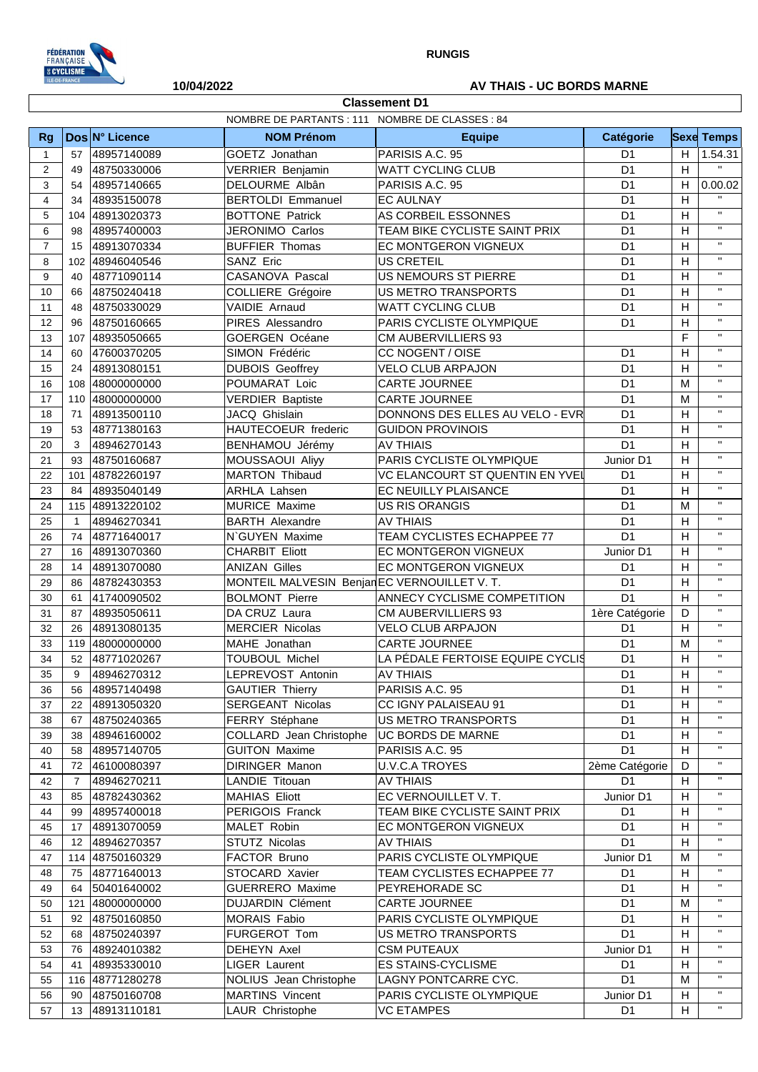

**Classement D1**

## **10/04/2022 AV THAIS - UC BORDS MARNE**

|                  |                 |                 | NOMBRE DE PARTANTS : 111 NOMBRE DE CLASSES : 84 |                                  |                 |                |                   |
|------------------|-----------------|-----------------|-------------------------------------------------|----------------------------------|-----------------|----------------|-------------------|
| Rg               |                 | Dos N° Licence  | <b>NOM Prénom</b>                               | <b>Equipe</b>                    | Catégorie       |                | <b>Sexe Temps</b> |
| $\mathbf{1}$     | 57              | 48957140089     | GOETZ Jonathan                                  | PARISIS A.C. 95                  | D <sub>1</sub>  | H              | 1.54.31           |
| $\overline{2}$   | 49              | 48750330006     | <b>VERRIER Benjamin</b>                         | WATT CYCLING CLUB                | D <sub>1</sub>  | H              | $\mathbf{H}$ .    |
| 3                | 54              | 48957140665     | DELOURME Albân                                  | PARISIS A.C. 95                  | D <sub>1</sub>  | H              | 0.00.02           |
| $\overline{4}$   | 34              | 48935150078     | <b>BERTOLDI Emmanuel</b>                        | <b>EC AULNAY</b>                 | D <sub>1</sub>  | H              | $\mathbf{H}$      |
| 5                | 104             | 48913020373     | <b>BOTTONE Patrick</b>                          | AS CORBEIL ESSONNES              | D <sub>1</sub>  | H              | $\mathbf{H}$      |
| 6                | 98              | 48957400003     | JERONIMO Carlos                                 | TEAM BIKE CYCLISTE SAINT PRIX    | D <sub>1</sub>  | H              | $\mathbf{H}$      |
| $\overline{7}$   | 15              | 48913070334     | <b>BUFFIER Thomas</b>                           | EC MONTGERON VIGNEUX             | D <sub>1</sub>  | H              | $\mathbf{H}$      |
| 8                | 102             | 48946040546     | SANZ Eric                                       | <b>US CRETEIL</b>                | D <sub>1</sub>  | H              | $\mathbf{H}$      |
| $\boldsymbol{9}$ | 40              | 48771090114     | CASANOVA Pascal                                 | <b>US NEMOURS ST PIERRE</b>      | D <sub>1</sub>  | H              | $\mathbf{H}$      |
| 10               | 66              | 48750240418     | COLLIERE Grégoire                               | <b>US METRO TRANSPORTS</b>       | D <sub>1</sub>  | H              | $\mathbf{H}$      |
| 11               | 48              | 48750330029     | VAIDIE Arnaud                                   | <b>WATT CYCLING CLUB</b>         | D <sub>1</sub>  | H              | $\mathbf{H}$      |
| 12               | 96              | 48750160665     | PIRES Alessandro                                | PARIS CYCLISTE OLYMPIQUE         | D <sub>1</sub>  | H              | $\mathbf{H}$      |
| 13               | 107             | 48935050665     | <b>GOERGEN Océane</b>                           | <b>CM AUBERVILLIERS 93</b>       |                 | F              | $\mathbf{H}$      |
| 14               | 60              | 47600370205     | SIMON Frédéric                                  | CC NOGENT / OISE                 | D <sub>1</sub>  | H              | $\mathbf{H}$      |
| 15               | 24              | 48913080151     | <b>DUBOIS Geoffrey</b>                          | <b>VELO CLUB ARPAJON</b>         | D <sub>1</sub>  | H              | $\mathbf{H}$      |
| 16               | 108             | 48000000000     | POUMARAT Loic                                   | <b>CARTE JOURNEE</b>             | D <sub>1</sub>  | M              | $\mathbf{H}$      |
| 17               |                 | 110 48000000000 | <b>VERDIER Baptiste</b>                         | <b>CARTE JOURNEE</b>             | D <sub>1</sub>  | M              | $\mathbf{H}$      |
| 18               | 71              | 48913500110     | JACQ Ghislain                                   | DONNONS DES ELLES AU VELO - EVR  | D <sub>1</sub>  | H              | $\mathbf{H}$      |
| 19               | 53              | 48771380163     | HAUTECOEUR frederic                             | <b>GUIDON PROVINOIS</b>          | D <sub>1</sub>  | H              | $\mathbf{H}$      |
| 20               | 3               | 48946270143     | BENHAMOU Jérémy                                 | <b>AV THIAIS</b>                 | D <sub>1</sub>  | H              | $\mathbf{H}$      |
| 21               | 93              | 48750160687     | MOUSSAOUI Aliyy                                 | PARIS CYCLISTE OLYMPIQUE         | Junior D1       | H              | $\mathbf{H}$      |
| 22               | 101             | 48782260197     | <b>MARTON Thibaud</b>                           | VC ELANCOURT ST QUENTIN EN YVEI  | D <sub>1</sub>  | H              | $\mathbf{H}$      |
| 23               | 84              | 48935040149     | <b>ARHLA Lahsen</b>                             | <b>EC NEUILLY PLAISANCE</b>      | D <sub>1</sub>  | H              | $\mathbf{H}$      |
| 24               |                 | 115 48913220102 | <b>MURICE Maxime</b>                            | <b>US RIS ORANGIS</b>            | D <sub>1</sub>  | M              | $\mathbf{H}$      |
| 25               | $\mathbf{1}$    | 48946270341     | <b>BARTH Alexandre</b>                          | <b>AV THIAIS</b>                 | D <sub>1</sub>  | H              | $\mathbf{H}$      |
| 26               | 74              | 48771640017     | N`GUYEN Maxime                                  | TEAM CYCLISTES ECHAPPEE 77       | D <sub>1</sub>  | H              | $\mathbf{H}$      |
| 27               | 16              | 48913070360     | <b>CHARBIT Eliott</b>                           | EC MONTGERON VIGNEUX             | Junior D1       | H              | $\mathbf{H}$      |
| 28               | 14              | 48913070080     | <b>ANIZAN Gilles</b>                            | EC MONTGERON VIGNEUX             | D <sub>1</sub>  | H              | $\mathbf{H}$      |
| 29               | 86              | 48782430353     | MONTEIL MALVESIN Benjar EC VERNOUILLET V. T.    |                                  | D <sub>1</sub>  | H              | $\mathbf{H}$      |
| 30               | 61              | 41740090502     | <b>BOLMONT Pierre</b>                           | ANNECY CYCLISME COMPETITION      | D <sub>1</sub>  | H              | $\mathbf{H}$      |
| 31               | 87              | 48935050611     | DA CRUZ Laura                                   | <b>CM AUBERVILLIERS 93</b>       | 1ère Catégorie  | D              | $\mathbf{H}$      |
| 32               | 26              | 48913080135     | <b>MERCIER Nicolas</b>                          | <b>VELO CLUB ARPAJON</b>         | D <sub>1</sub>  | H              | $\mathbf{H}$      |
| 33               | 119             | 48000000000     | MAHE Jonathan                                   | CARTE JOURNEE                    | D <sub>1</sub>  | M              | $\mathbf{H}$      |
| 34               | 52              | 48771020267     | TOUBOUL Michel                                  | LA PÉDALE FERTOISE EQUIPE CYCLIS | D <sub>1</sub>  | H              | $\mathbf{H}$      |
| 35               | 9               | 48946270312     | LEPREVOST Antonin                               | <b>AV THIAIS</b>                 | D <sub>1</sub>  | H              | $\mathbf{H}$      |
| 36               | 56              | 48957140498     | <b>GAUTIER Thierry</b>                          | PARISIS A.C. 95                  | $\overline{D1}$ | $\overline{H}$ | $\mathbf{H}$      |
| 37               | 22              | 48913050320     | <b>SERGEANT Nicolas</b>                         | CC IGNY PALAISEAU 91             | D <sub>1</sub>  | H              | $\mathbf{H}$      |
| 38               | 67              | 48750240365     | FERRY Stéphane                                  | US METRO TRANSPORTS              | D <sub>1</sub>  | H              | $\mathbf{H}$      |
| 39               | 38              | 48946160002     | COLLARD Jean Christophe                         | <b>UC BORDS DE MARNE</b>         | D <sub>1</sub>  | H              | $\mathbf{H}$      |
| 40               | 58              | 48957140705     | <b>GUITON Maxime</b>                            | PARISIS A.C. 95                  | D <sub>1</sub>  | H              | $\mathbf{H}$      |
| 41               | 72              | 46100080397     | <b>DIRINGER Manon</b>                           | <b>U.V.C.A TROYES</b>            | 2ème Catégorie  | D              | $\mathbf{H}$      |
| 42               | $\overline{7}$  | 48946270211     | LANDIE Titouan                                  | <b>AV THIAIS</b>                 | D <sub>1</sub>  | H              | $\mathbf{H}$      |
| 43               | 85              | 48782430362     | <b>MAHIAS Eliott</b>                            | EC VERNOUILLET V.T.              | Junior D1       | H              | $\mathbf{H}$      |
| 44               | 99              | 48957400018     | PERIGOIS Franck                                 | TEAM BIKE CYCLISTE SAINT PRIX    | D <sub>1</sub>  | H              | $\mathbf{H}$      |
| 45               |                 |                 | MALET Robin                                     | EC MONTGERON VIGNEUX             | D <sub>1</sub>  | H              | $\mathbf{H}$      |
| 46               | 17              | 48913070059     | STUTZ Nicolas                                   |                                  | D <sub>1</sub>  | H              | $\mathbf{H}$      |
|                  | 12 <sup>°</sup> | 48946270357     |                                                 | <b>AV THIAIS</b>                 |                 | M              | $\mathbf{H}$      |
| 47               |                 | 114 48750160329 | FACTOR Bruno                                    | PARIS CYCLISTE OLYMPIQUE         | Junior D1       |                | $\mathbf{H}$      |
| 48               | 75              | 48771640013     | STOCARD Xavier                                  | TEAM CYCLISTES ECHAPPEE 77       | D <sub>1</sub>  | H              | $\mathbf{H}$      |
| 49               | 64              | 50401640002     | <b>GUERRERO Maxime</b>                          | PEYREHORADE SC                   | D <sub>1</sub>  | H              | $\mathbf{H}$      |
| 50               | 121             | 48000000000     | <b>DUJARDIN Clément</b>                         | CARTE JOURNEE                    | D <sub>1</sub>  | M              | $\mathbf{H}$      |
| 51               | 92              | 48750160850     | MORAIS Fabio                                    | PARIS CYCLISTE OLYMPIQUE         | D <sub>1</sub>  | H              | $\mathbf{H}$      |
| 52               | 68              | 48750240397     | FURGEROT Tom                                    | US METRO TRANSPORTS              | D <sub>1</sub>  | H              | $\mathbf{H}$      |
| 53               | 76              | 48924010382     | DEHEYN Axel                                     | <b>CSM PUTEAUX</b>               | Junior D1       | H              | $\mathbf{H}$      |
| 54               | 41              | 48935330010     | LIGER Laurent                                   | ES STAINS-CYCLISME               | D <sub>1</sub>  | H              | $\mathbf{H}$      |
| 55               |                 | 116 48771280278 | NOLIUS Jean Christophe                          | LAGNY PONTCARRE CYC.             | D <sub>1</sub>  | M              | $\mathbf{H}$      |
| 56               | 90              | 48750160708     | <b>MARTINS Vincent</b>                          | PARIS CYCLISTE OLYMPIQUE         | Junior D1       | H              |                   |
| 57               | 13              | 48913110181     | LAUR Christophe                                 | <b>VC ETAMPES</b>                | D1              | H              | $\mathbf{H}$      |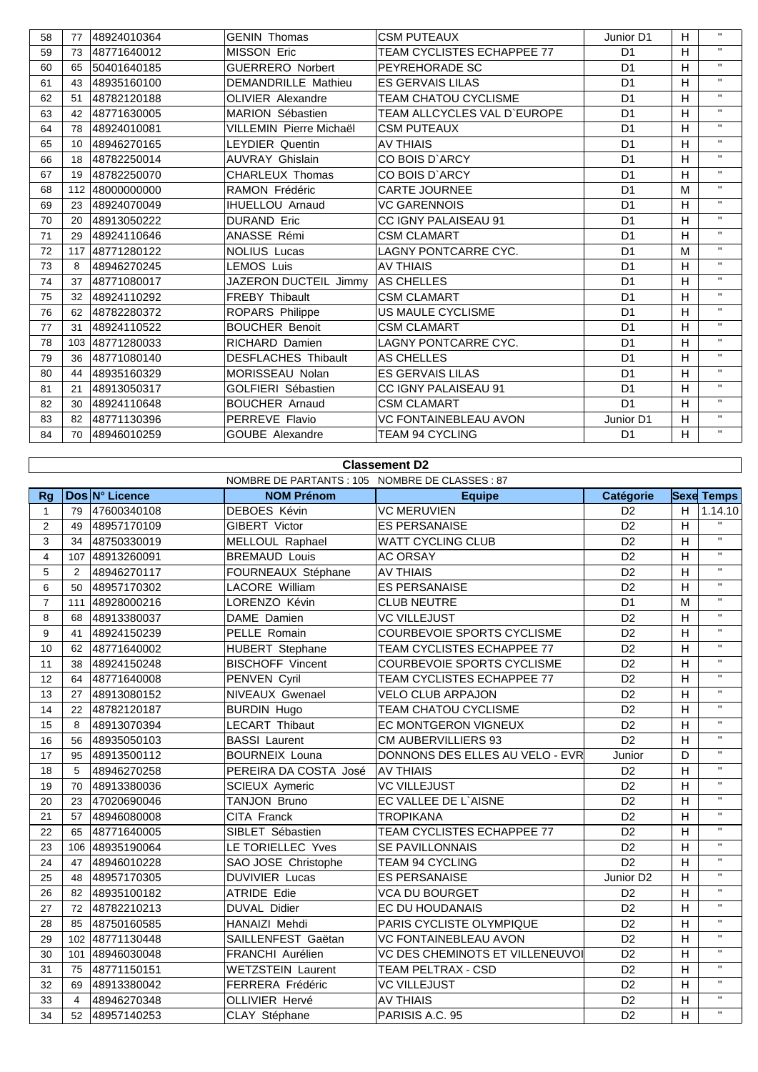| 58 | 77  | 48924010364 | <b>GENIN Thomas</b>        | <b>CSM PUTEAUX</b>                | Junior D1      | H | $\mathbf{H}$ |
|----|-----|-------------|----------------------------|-----------------------------------|----------------|---|--------------|
| 59 | 73  | 48771640012 | <b>MISSON Eric</b>         | <b>TEAM CYCLISTES ECHAPPEE 77</b> | D <sub>1</sub> | H | $\mathbf{H}$ |
| 60 | 65  | 50401640185 | <b>GUERRERO Norbert</b>    | PEYREHORADE SC                    | D <sub>1</sub> | H | $\mathbf{H}$ |
| 61 | 43  | 48935160100 | <b>DEMANDRILLE Mathieu</b> | <b>ES GERVAIS LILAS</b>           | D <sub>1</sub> | H | $\mathbf{H}$ |
| 62 | 51  | 48782120188 | OLIVIER Alexandre          | TEAM CHATOU CYCLISME              | D <sub>1</sub> | H | $\mathbf{H}$ |
| 63 | 42  | 48771630005 | <b>MARION Sébastien</b>    | TEAM ALLCYCLES VAL D'EUROPE       | D <sub>1</sub> | H | $\mathbf{H}$ |
| 64 | 78  | 48924010081 | VILLEMIN Pierre Michaël    | <b>CSM PUTEAUX</b>                | D <sub>1</sub> | H | $\mathbf{H}$ |
| 65 | 10  | 48946270165 | <b>LEYDIER Quentin</b>     | <b>AV THIAIS</b>                  | D <sub>1</sub> | H | $\mathbf{H}$ |
| 66 | 18  | 48782250014 | <b>AUVRAY Ghislain</b>     | CO BOIS D'ARCY                    | D <sub>1</sub> | H | $\mathbf{H}$ |
| 67 | 19  | 48782250070 | CHARLEUX Thomas            | CO BOIS D'ARCY                    | D <sub>1</sub> | H | $\mathbf{H}$ |
| 68 | 112 | 48000000000 | <b>RAMON Frédéric</b>      | <b>CARTE JOURNEE</b>              | D <sub>1</sub> | M | $\mathbf{H}$ |
| 69 | 23  | 48924070049 | <b>IHUELLOU Arnaud</b>     | <b>VC GARENNOIS</b>               | D <sub>1</sub> | H | $\mathbf{H}$ |
| 70 | 20  | 48913050222 | <b>DURAND Eric</b>         | CC IGNY PALAISEAU 91              | D <sub>1</sub> | H | $\mathbf{H}$ |
| 71 | 29  | 48924110646 | ANASSE Rémi                | <b>CSM CLAMART</b>                | D <sub>1</sub> | H | $\mathbf{H}$ |
| 72 | 117 | 48771280122 | <b>NOLIUS Lucas</b>        | LAGNY PONTCARRE CYC.              | D <sub>1</sub> | M | $\mathbf{H}$ |
| 73 | 8   | 48946270245 | <b>LEMOS Luis</b>          | <b>AV THIAIS</b>                  | D <sub>1</sub> | H | $\mathbf{H}$ |
| 74 | 37  | 48771080017 | JAZERON DUCTEIL Jimmy      | AS CHELLES                        | D <sub>1</sub> | H | $\mathbf{H}$ |
| 75 | 32  | 48924110292 | <b>FREBY Thibault</b>      | <b>CSM CLAMART</b>                | D <sub>1</sub> | H | $\mathbf{H}$ |
| 76 | 62  | 48782280372 | ROPARS Philippe            | US MAULE CYCLISME                 | D <sub>1</sub> | H | $\mathbf{H}$ |
| 77 | 31  | 48924110522 | <b>BOUCHER Benoit</b>      | <b>CSM CLAMART</b>                | D <sub>1</sub> | H | $\mathbf{H}$ |
| 78 | 103 | 48771280033 | <b>RICHARD Damien</b>      | LAGNY PONTCARRE CYC.              | D <sub>1</sub> | H | $\mathbf{H}$ |
| 79 | 36  | 48771080140 | <b>DESFLACHES Thibault</b> | AS CHELLES                        | D <sub>1</sub> | H | $\mathbf{H}$ |
| 80 | 44  | 48935160329 | MORISSEAU Nolan            | <b>ES GERVAIS LILAS</b>           | D <sub>1</sub> | H | $\mathbf{H}$ |
| 81 | 21  | 48913050317 | <b>GOLFIERI Sébastien</b>  | <b>CC IGNY PALAISEAU 91</b>       | D <sub>1</sub> | H | $\mathbf{H}$ |
| 82 | 30  | 48924110648 | <b>BOUCHER Arnaud</b>      | <b>CSM CLAMART</b>                | D <sub>1</sub> | H | $\mathbf{H}$ |
| 83 | 82  | 48771130396 | PERREVE Flavio             | <b>VC FONTAINEBLEAU AVON</b>      | Junior D1      | H | $\mathbf{H}$ |
| 84 | 70  | 48946010259 | GOUBE Alexandre            | <b>TEAM 94 CYCLING</b>            | D <sub>1</sub> | H | $\mathbf{H}$ |

## **Classement D2**

|                |                |                 | NOMBRE DE PARTANTS : 105 NOMBRE DE CLASSES : 87 |                                   |                       |   |                   |
|----------------|----------------|-----------------|-------------------------------------------------|-----------------------------------|-----------------------|---|-------------------|
| <b>Rg</b>      |                | Dos N° Licence  | <b>NOM Prénom</b>                               | <b>Equipe</b>                     | <b>Catégorie</b>      |   | <b>Sexe Temps</b> |
| $\mathbf{1}$   | 79             | 47600340108     | DEBOES Kévin                                    | <b>VC MERUVIEN</b>                | D <sub>2</sub>        | H | 1.14.10           |
| $\overline{2}$ | 49             | 48957170109     | GIBERT Victor                                   | <b>ES PERSANAISE</b>              | D <sub>2</sub>        | H | $\mathbf{H}$      |
| 3              | 34             | 48750330019     | MELLOUL Raphael                                 | <b>WATT CYCLING CLUB</b>          | D <sub>2</sub>        | H | $\mathbf{H}$      |
| $\overline{4}$ | 107            | 48913260091     | <b>BREMAUD Louis</b>                            | <b>AC ORSAY</b>                   | D <sub>2</sub>        | H | $\mathbf H$       |
| 5              | 2              | 48946270117     | FOURNEAUX Stéphane                              | <b>AV THIAIS</b>                  | D <sub>2</sub>        | H | $\mathbf{H}$ .    |
| 6              | 50             | 48957170302     | LACORE William                                  | <b>ES PERSANAISE</b>              | D <sub>2</sub>        | H | $\mathbf{H}$      |
| $\overline{7}$ | 111            | 48928000216     | LORENZO Kévin                                   | <b>CLUB NEUTRE</b>                | D <sub>1</sub>        | M | $\mathbf{H}$      |
| 8              | 68             | 48913380037     | DAME Damien                                     | <b>VC VILLEJUST</b>               | D <sub>2</sub>        | H | $\mathbf{H}$ .    |
| 9              | 41             | 48924150239     | PELLE Romain                                    | COURBEVOIE SPORTS CYCLISME        | D <sub>2</sub>        | H | $\mathbf{H}$      |
| 10             | 62             | 48771640002     | <b>HUBERT</b> Stephane                          | TEAM CYCLISTES ECHAPPEE 77        | D <sub>2</sub>        | H | $\mathbf{H}$      |
| 11             | 38             | 48924150248     | <b>BISCHOFF Vincent</b>                         | COURBEVOIE SPORTS CYCLISME        | D <sub>2</sub>        | H | $\mathbf{H}$      |
| 12             | 64             | 48771640008     | PENVEN Cyril                                    | <b>TEAM CYCLISTES ECHAPPEE 77</b> | D <sub>2</sub>        | H | $\mathbf{H}$      |
| 13             | 27             | 48913080152     | <b>NIVEAUX Gwenael</b>                          | <b>VELO CLUB ARPAJON</b>          | D <sub>2</sub>        | H | $\mathbf{H}$      |
| 14             | 22             | 48782120187     | <b>BURDIN Hugo</b>                              | TEAM CHATOU CYCLISME              | D <sub>2</sub>        | H | $\mathbf{H}$      |
| 15             | 8              | 48913070394     | LECART Thibaut                                  | EC MONTGERON VIGNEUX              | D <sub>2</sub>        | H | $\mathbf{H}$      |
| 16             | 56             | 48935050103     | <b>BASSI</b> Laurent                            | <b>CM AUBERVILLIERS 93</b>        | D <sub>2</sub>        | H | $\mathbf{H}$      |
| 17             | 95             | 48913500112     | <b>BOURNEIX Louna</b>                           | DONNONS DES ELLES AU VELO - EVR   | Junior                | D | $\mathbf{H}$      |
| 18             | 5              | 48946270258     | PEREIRA DA COSTA José                           | <b>AV THIAIS</b>                  | D <sub>2</sub>        | H | $\mathbf{H}$      |
| 19             | 70             | 48913380036     | <b>SCIEUX Aymeric</b>                           | <b>VC VILLEJUST</b>               | D <sub>2</sub>        | H | $\mathbf{H}$      |
| 20             | 23             | 47020690046     | TANJON Bruno                                    | EC VALLEE DE L'AISNE              | D <sub>2</sub>        | H | $\mathbf{H}$      |
| 21             | 57             | 48946080008     | CITA Franck                                     | <b>TROPIKANA</b>                  | D <sub>2</sub>        | H | $\mathbf{H}$      |
| 22             | 65             | 48771640005     | SIBLET Sébastien                                | TEAM CYCLISTES ECHAPPEE 77        | D <sub>2</sub>        | H | $\mathbf{H}$      |
| 23             |                | 106 48935190064 | LE TORIELLEC Yves                               | <b>SE PAVILLONNAIS</b>            | D <sub>2</sub>        | H | $\mathbf{H}$      |
| 24             | 47             | 48946010228     | SAO JOSE Christophe                             | TEAM 94 CYCLING                   | D <sub>2</sub>        | H | $\mathbf{H}$      |
| 25             | 48             | 48957170305     | <b>DUVIVIER Lucas</b>                           | <b>ES PERSANAISE</b>              | Junior D <sub>2</sub> | H | $\mathbf{H}$      |
| 26             | 82             | 48935100182     | <b>ATRIDE Edie</b>                              | <b>VCA DU BOURGET</b>             | D <sub>2</sub>        | H | $\mathbf{H}$      |
| 27             | 72             | 48782210213     | <b>DUVAL Didier</b>                             | EC DU HOUDANAIS                   | D <sub>2</sub>        | H | $\mathbf{H}$      |
| 28             | 85             | 48750160585     | HANAIZI Mehdi                                   | PARIS CYCLISTE OLYMPIQUE          | D <sub>2</sub>        | H | $\mathbf{H}$      |
| 29             |                | 102 48771130448 | SAILLENFEST Gaëtan                              | <b>VC FONTAINEBLEAU AVON</b>      | D <sub>2</sub>        | H | $\mathbf{H}$      |
| 30             | 101            | 48946030048     | FRANCHI Aurélien                                | VC DES CHEMINOTS ET VILLENEUVOI   | D <sub>2</sub>        | H | $\mathbf{H}$      |
| 31             | 75             | 48771150151     | <b>WETZSTEIN Laurent</b>                        | TEAM PELTRAX - CSD                | D <sub>2</sub>        | H | $\mathbf{H}$      |
| 32             | 69             | 48913380042     | FERRERA Frédéric                                | <b>VC VILLEJUST</b>               | D <sub>2</sub>        | H | $\mathbf{H}$      |
| 33             | $\overline{4}$ | 48946270348     | <b>OLLIVIER Hervé</b>                           | <b>AV THIAIS</b>                  | D <sub>2</sub>        | H | $\mathbf{H}$      |
| 34             |                | 52 48957140253  | CLAY Stéphane                                   | PARISIS A.C. 95                   | D <sub>2</sub>        | H | $\mathbf{H}$ .    |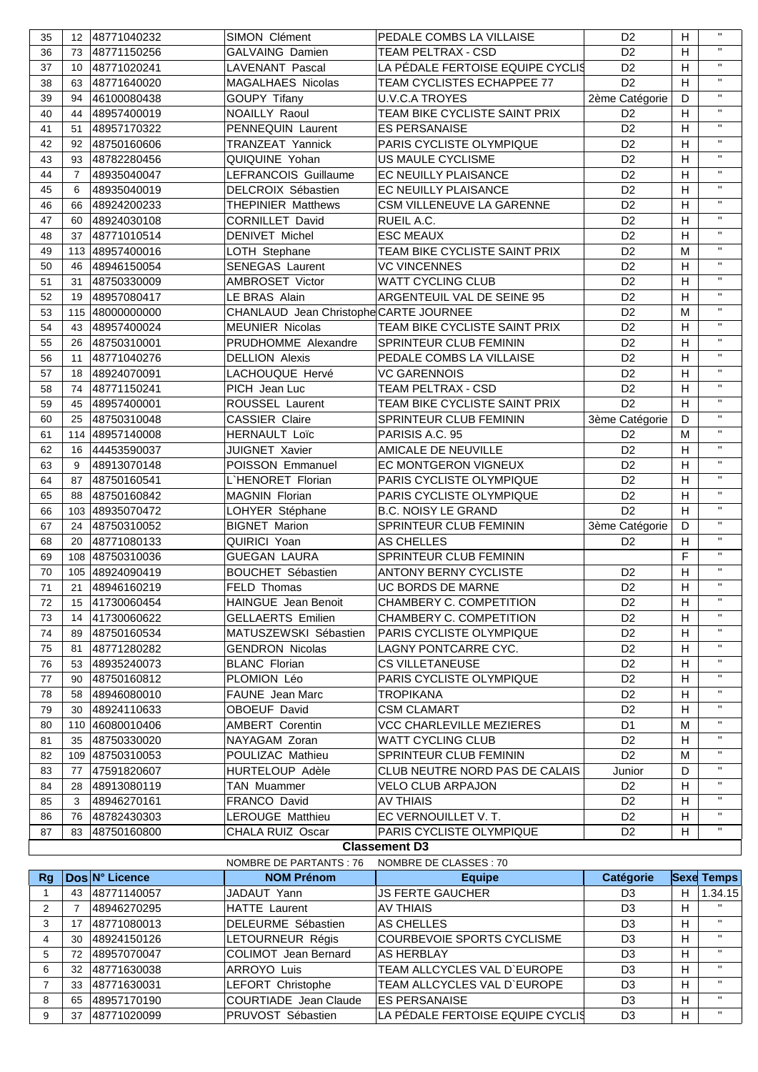| 35       |                | 12 48771040232             | <b>SIMON Clément</b>                   | PEDALE COMBS LA VILLAISE                        | D <sub>2</sub>                   | H              | $\mathbf{H}$                 |
|----------|----------------|----------------------------|----------------------------------------|-------------------------------------------------|----------------------------------|----------------|------------------------------|
| 36       |                | 73 48771150256             | <b>GALVAING Damien</b>                 | <b>TEAM PELTRAX - CSD</b>                       | D <sub>2</sub>                   | H              | $\mathbf{H}$                 |
| 37       |                | 10 48771020241             | LAVENANT Pascal                        | LA PÉDALE FERTOISE EQUIPE CYCLIS                | D <sub>2</sub>                   | H              | $\mathbf{H}$                 |
| 38       |                | 63 48771640020             | <b>MAGALHAES Nicolas</b>               | TEAM CYCLISTES ECHAPPEE 77                      | D <sub>2</sub>                   | H              | $\mathbf{H}$                 |
| 39       | 94             | 46100080438                | <b>GOUPY Tifany</b>                    | <b>U.V.C.A TROYES</b>                           | 2ème Catégorie                   | D              | $\mathbf{u}$                 |
| 40       | 44             | 48957400019                | NOAILLY Raoul                          | TEAM BIKE CYCLISTE SAINT PRIX                   | D <sub>2</sub>                   | H              | $\mathbf{H}$                 |
| 41       | 51             | 48957170322                | PENNEQUIN Laurent                      | <b>ES PERSANAISE</b>                            | D <sub>2</sub>                   | H              | $\mathbf{H}$                 |
| 42       |                | 92 48750160606             | TRANZEAT Yannick                       | PARIS CYCLISTE OLYMPIQUE                        | D <sub>2</sub>                   | H              | $\mathbf{u}$                 |
| 43       |                | 93 48782280456             | QUIQUINE Yohan                         | US MAULE CYCLISME                               | D <sub>2</sub>                   | H              | $\mathbf{H}$                 |
| 44       | $\overline{7}$ | 48935040047                | LEFRANCOIS Guillaume                   | EC NEUILLY PLAISANCE                            | D <sub>2</sub>                   | H              | $\mathbf{H}$                 |
| 45       | 6              | 48935040019                | DELCROIX Sébastien                     | EC NEUILLY PLAISANCE                            | D <sub>2</sub>                   | H              | $\mathbf{u}$                 |
| 46       | 66             | 48924200233                | <b>THEPINIER Matthews</b>              | CSM VILLENEUVE LA GARENNE                       | D <sub>2</sub>                   | H              | $\mathbf{u}$                 |
| 47       |                | 60 48924030108             | <b>CORNILLET David</b>                 | RUEIL A.C.                                      | D <sub>2</sub>                   | H              | $\mathbf{H}$                 |
| 48       |                | 37 48771010514             | <b>DENIVET Michel</b>                  | <b>ESC MEAUX</b>                                | D <sub>2</sub>                   | H              | $\mathbf{u}$                 |
| 49       |                | 113 48957400016            | LOTH Stephane                          | TEAM BIKE CYCLISTE SAINT PRIX                   | D <sub>2</sub>                   | M              | $\mathbf{u}$                 |
| 50       | 46             | 48946150054                | <b>SENEGAS Laurent</b>                 | <b>VC VINCENNES</b>                             | D <sub>2</sub>                   | H              | $\mathbf{H}$                 |
| 51       |                | 31 48750330009             | AMBROSET Victor                        | WATT CYCLING CLUB                               | D <sub>2</sub>                   | H              | $\mathbf{H}$                 |
| 52       | 19             | 48957080417                | LE BRAS Alain                          | ARGENTEUIL VAL DE SEINE 95                      | D <sub>2</sub>                   | H              | $\mathbf{u}$                 |
| 53       |                | 115 48000000000            | CHANLAUD Jean Christophe CARTE JOURNEE |                                                 | D <sub>2</sub>                   | M              | $\mathbf{H}$                 |
| 54       |                | 43 48957400024             | <b>MEUNIER Nicolas</b>                 | TEAM BIKE CYCLISTE SAINT PRIX                   | D <sub>2</sub>                   | H              | $\mathbf{H}$                 |
| 55       | 26             | 48750310001                | PRUDHOMME Alexandre                    | <b>SPRINTEUR CLUB FEMININ</b>                   | D <sub>2</sub>                   | H              | $\mathbf{u}$                 |
| 56       | 11             | 48771040276                | <b>DELLION Alexis</b>                  | PEDALE COMBS LA VILLAISE                        | D <sub>2</sub>                   | H              | $\mathbf{H}$                 |
| 57       |                | 18 48924070091             | LACHOUQUE Hervé                        | <b>VC GARENNOIS</b>                             | D <sub>2</sub>                   | H              | $\mathbf{H}$                 |
| 58       | 74             | 48771150241                | PICH Jean Luc                          | TEAM PELTRAX - CSD                              | D <sub>2</sub>                   | H              | $\mathbf{u}$                 |
| 59       | 45             | 48957400001                | ROUSSEL Laurent                        | TEAM BIKE CYCLISTE SAINT PRIX                   | D <sub>2</sub>                   | H              | $\mathbf{H}$                 |
| 60       |                | 25 48750310048             | <b>CASSIER Claire</b>                  | SPRINTEUR CLUB FEMININ                          | 3ème Catégorie                   | D              | $\mathbf{H}$                 |
| 61       |                | 114 48957140008            | <b>HERNAULT Loïc</b>                   | PARISIS A.C. 95                                 | D <sub>2</sub>                   | M              | $\mathbf{u}$                 |
| 62       | 16             | 44453590037                | <b>JUIGNET Xavier</b>                  | AMICALE DE NEUVILLE                             | D <sub>2</sub>                   | H              | $\mathbf{H}$                 |
| 63       | 9              | 48913070148                | POISSON Emmanuel                       | EC MONTGERON VIGNEUX                            | D <sub>2</sub>                   | H              | $\mathbf{H}$                 |
| 64       | 87             | 48750160541                | L'HENORET Florian                      | PARIS CYCLISTE OLYMPIQUE                        | D <sub>2</sub>                   | H              | $\mathbf{H}$                 |
| 65       | 88             | 48750160842                | MAGNIN Florian                         | PARIS CYCLISTE OLYMPIQUE                        | D <sub>2</sub>                   | H              | $\mathbf{H}$                 |
| 66       |                | 103 48935070472            | LOHYER Stéphane                        | <b>B.C. NOISY LE GRAND</b>                      | D <sub>2</sub>                   | H              | $\mathbf{H}$                 |
| 67       | 24             | 48750310052                | <b>BIGNET Marion</b>                   | SPRINTEUR CLUB FEMININ                          | 3ème Catégorie                   | D              | $\mathbf{H}$                 |
| 68       | 20             | 48771080133                | QUIRICI Yoan                           | AS CHELLES                                      | D <sub>2</sub>                   | H              | $\mathbf{H}$                 |
| 69       |                | 108 48750310036            | <b>GUEGAN LAURA</b>                    | SPRINTEUR CLUB FEMININ                          |                                  | F              | $\mathbf{H}$                 |
| 70       |                | 105 48924090419            | <b>BOUCHET Sébastien</b>               | <b>ANTONY BERNY CYCLISTE</b>                    | D <sub>2</sub>                   | H              | $\mathbf{H}$                 |
| 71       | 21             | 48946160219                | FELD Thomas                            | <b>UC BORDS DE MARNE</b>                        | D <sub>2</sub>                   | H              | $\mathbf{H}$                 |
| 72       |                | 15 41730060454             | <b>HAINGUE</b> Jean Benoit             | CHAMBERY C. COMPETITION                         | D <sub>2</sub>                   | $\overline{H}$ | $\mathbf{H}$ .               |
| 73       | 14             | 41730060622                | GELLAERTS Emilien                      | CHAMBERY C. COMPETITION                         | D <sub>2</sub>                   | H              | $\mathbf{H}$                 |
| 74       | 89             | 48750160534                | MATUSZEWSKI Sébastien                  | PARIS CYCLISTE OLYMPIQUE                        | D <sub>2</sub>                   | H              |                              |
| 75       | 81             | 48771280282                | <b>GENDRON Nicolas</b>                 | LAGNY PONTCARRE CYC.                            | D <sub>2</sub>                   | H              | $\mathbf{H}$                 |
| 76       | 53             | 48935240073                | <b>BLANC Florian</b>                   | <b>CS VILLETANEUSE</b>                          | D <sub>2</sub>                   | H              | $\mathbf{H}$                 |
| 77       | 90             | 48750160812                | PLOMION Léo                            | PARIS CYCLISTE OLYMPIQUE                        | D <sub>2</sub>                   | H              | $\mathbf{H}$                 |
| 78       | 58             | 48946080010                | <b>FAUNE</b> Jean Marc                 | TROPIKANA                                       | D <sub>2</sub>                   | H              | $\mathbf{H}$<br>$\mathbf{H}$ |
| 79       | 30             | 48924110633                | <b>OBOEUF David</b>                    | <b>CSM CLAMART</b>                              | D <sub>2</sub>                   | H              | $\mathbf{H}$                 |
| 80       |                | 110 46080010406            | <b>AMBERT Corentin</b>                 | <b>VCC CHARLEVILLE MEZIERES</b>                 | D <sub>1</sub>                   | M              | $\mathbf{H}$                 |
| 81       | 35             | 48750330020                | NAYAGAM Zoran                          | <b>WATT CYCLING CLUB</b>                        | D <sub>2</sub>                   | H              | $\mathbf{H}$                 |
| 82       |                | 109 48750310053            | POULIZAC Mathieu                       | SPRINTEUR CLUB FEMININ                          | D <sub>2</sub>                   | м              | $\mathbf{H}$                 |
| 83       | 77             | 47591820607                | <b>HURTELOUP Adèle</b>                 | CLUB NEUTRE NORD PAS DE CALAIS                  | Junior                           | D              | $\mathbf{H}$                 |
| 84       | 28             | 48913080119                | TAN Muammer                            | <b>VELO CLUB ARPAJON</b>                        | D <sub>2</sub>                   | H              | $\mathbf{H}$                 |
| 85       | 3              | 48946270161                | FRANCO David                           | AV THIAIS                                       | D <sub>2</sub>                   | H              | $\mathbf{H}$                 |
| 86<br>87 | 76<br>83       | 48782430303<br>48750160800 | LEROUGE Matthieu<br>CHALA RUIZ  Oscar  | EC VERNOUILLET V.T.<br>PARIS CYCLISTE OLYMPIQUE | D <sub>2</sub><br>D <sub>2</sub> | H<br>H         | $\mathbf{H}$                 |
|          |                |                            |                                        | <b>Classement D3</b>                            |                                  |                |                              |
|          |                |                            |                                        |                                                 |                                  |                |                              |

## NOMBRE DE PARTANTS : 76 NOMBRE DE CLASSES : 70

| Ra |     | Dos N° Licence | <b>NOM Prénom</b>           | <b>Equipe</b>                    | <b>Catégorie</b> |    | <b>Sexe Temps</b> |
|----|-----|----------------|-----------------------------|----------------------------------|------------------|----|-------------------|
|    | 43  | 48771140057    | JADAUT Yann                 | <b>JS FERTE GAUCHER</b>          | D <sub>3</sub>   | н  | 1.34.15           |
|    |     | 48946270295    | <b>HATTE Laurent</b>        | <b>AV THIAIS</b>                 | D3               | H. |                   |
| 3  |     | 48771080013    | DELEURME Sébastien          | AS CHELLES                       | D3               | H  | $\mathbf{H}$      |
|    | 30  | 48924150126    | LETOURNEUR Régis            | COURBEVOIE SPORTS CYCLISME       | D <sub>3</sub>   | H. | $\mathbf{H}$      |
| 5  | 72  | 48957070047    | <b>COLIMOT</b> Jean Bernard | <b>AS HERBLAY</b>                | D3               | H  | $\mathbf{H}$      |
| 6  | 32  | 48771630038    | ARROYO Luis                 | TEAM ALLCYCLES VAL D'EUROPE      | D <sub>3</sub>   | H  | $\mathbf{H}$      |
|    | 33  | 48771630031    | LEFORT Christophe           | TEAM ALLCYCLES VAL D'EUROPE      | D <sub>3</sub>   | H  | $\mathbf{H}$      |
| 8  | 65  | 48957170190    | COURTIADE Jean Claude       | <b>ES PERSANAISE</b>             | D <sub>3</sub>   | H  | $\mathbf{H}$      |
| 9  | -37 | 48771020099    | PRUVOST Sébastien           | LA PÉDALE FERTOISE EQUIPE CYCLIS | D <sub>3</sub>   | H  | $\mathbf{H}$      |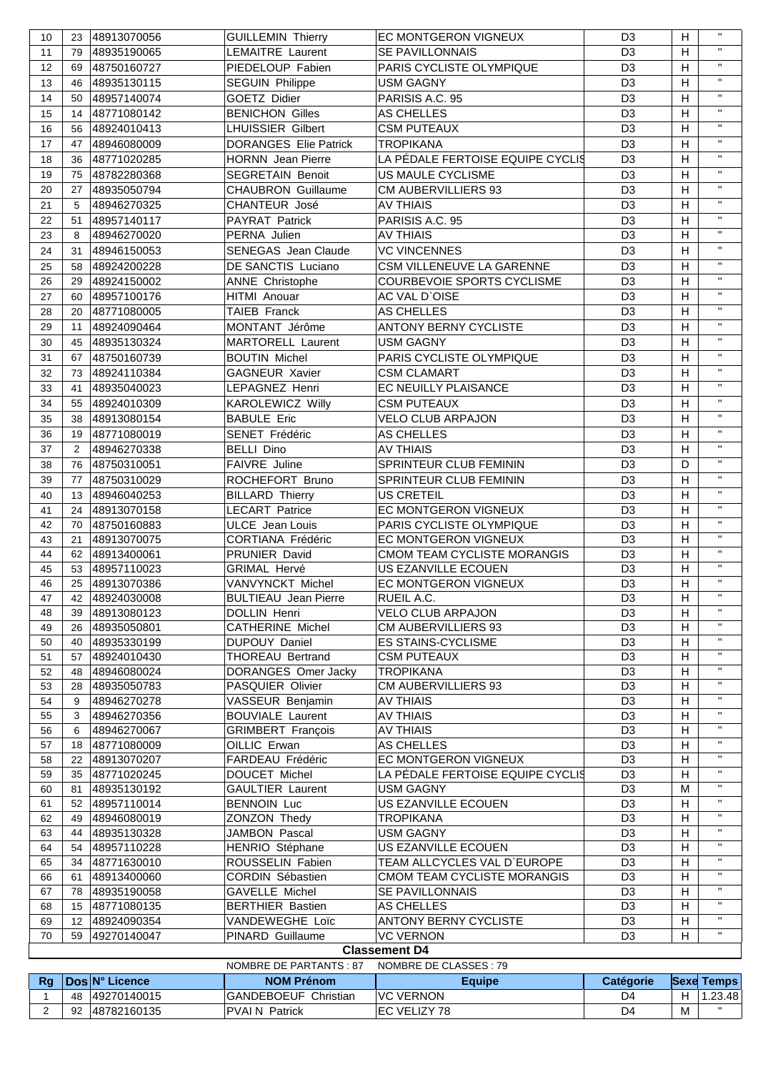| 10             | 23                | 48913070056    | <b>GUILLEMIN Thierry</b>     | EC MONTGERON VIGNEUX             | D <sub>3</sub>   | H | п.                |
|----------------|-------------------|----------------|------------------------------|----------------------------------|------------------|---|-------------------|
| 11             | 79                | 48935190065    | LEMAITRE Laurent             | SE PAVILLONNAIS                  | D <sub>3</sub>   | H | $\mathbf{H}$      |
| 12             | 69                | 48750160727    | PIEDELOUP Fabien             | PARIS CYCLISTE OLYMPIQUE         | D <sub>3</sub>   | H | $\mathbf{H}$      |
| 13             | 46                | 48935130115    | <b>SEGUIN Philippe</b>       | <b>USM GAGNY</b>                 | D <sub>3</sub>   | H | $\mathbf{H}$      |
| 14             | 50                | 48957140074    | <b>GOETZ Didier</b>          | PARISIS A.C. 95                  | D <sub>3</sub>   | H | $\mathbf{H}$      |
| 15             | 14                | 48771080142    | <b>BENICHON Gilles</b>       | AS CHELLES                       | D <sub>3</sub>   | H | $\mathbf{H}$      |
| 16             | 56                | 48924010413    | <b>LHUISSIER Gilbert</b>     | <b>CSM PUTEAUX</b>               | D <sub>3</sub>   | H | $\mathbf{H}$      |
|                |                   |                | <b>DORANGES Elie Patrick</b> | <b>TROPIKANA</b>                 |                  | H | $\mathbf{H}$      |
| 17             | 47                | 48946080009    |                              |                                  | D <sub>3</sub>   |   | $\mathbf{H}$      |
| 18             | 36                | 48771020285    | <b>HORNN</b> Jean Pierre     | LA PÉDALE FERTOISE EQUIPE CYCLIS | D <sub>3</sub>   | H | $\mathbf{H}$      |
| 19             | 75                | 48782280368    | <b>SEGRETAIN Benoit</b>      | US MAULE CYCLISME                | D <sub>3</sub>   | H |                   |
| 20             | 27                | 48935050794    | <b>CHAUBRON Guillaume</b>    | CM AUBERVILLIERS 93              | D <sub>3</sub>   | H | $\mathbf{H}$      |
| 21             | 5                 | 48946270325    | CHANTEUR José                | <b>AV THIAIS</b>                 | D <sub>3</sub>   | H | $\mathbf{H}$      |
| 22             | 51                | 48957140117    | PAYRAT Patrick               | PARISIS A.C. 95                  | D <sub>3</sub>   | H | $\mathbf{H}$      |
| 23             | 8                 | 48946270020    | PERNA Julien                 | <b>AV THIAIS</b>                 | D <sub>3</sub>   | H | $\mathbf{H}$      |
| 24             | 31                | 48946150053    | <b>SENEGAS Jean Claude</b>   | <b>VC VINCENNES</b>              | D <sub>3</sub>   | Н | $\mathbf{H}$      |
| 25             | 58                | 48924200228    | DE SANCTIS Luciano           | CSM VILLENEUVE LA GARENNE        | D <sub>3</sub>   | H | $\mathbf{H}$      |
| 26             | 29                | 48924150002    | <b>ANNE Christophe</b>       | COURBEVOIE SPORTS CYCLISME       | D <sub>3</sub>   | н | $\mathbf{H}$      |
| 27             | 60                | 48957100176    | HITMI Anouar                 | AC VAL D'OISE                    | D <sub>3</sub>   | H | $\mathbf{H}$      |
| 28             | 20                | 48771080005    | <b>TAIEB Franck</b>          | AS CHELLES                       | D <sub>3</sub>   | н | $\mathbf{H}$      |
| 29             | 11                | 48924090464    | MONTANT Jérôme               | <b>ANTONY BERNY CYCLISTE</b>     | D <sub>3</sub>   | H | $\mathbf{H}$      |
|                |                   |                |                              |                                  |                  |   | $\mathbf{H}$      |
| 30             | 45                | 48935130324    | <b>MARTORELL Laurent</b>     | <b>USM GAGNY</b>                 | D <sub>3</sub>   | Н | $\mathbf{H}$      |
| 31             | 67                | 48750160739    | <b>BOUTIN Michel</b>         | PARIS CYCLISTE OLYMPIQUE         | D <sub>3</sub>   | H |                   |
| 32             | 73                | 48924110384    | <b>GAGNEUR Xavier</b>        | <b>CSM CLAMART</b>               | D <sub>3</sub>   | H | $\mathbf{H}$      |
| 33             | 41                | 48935040023    | LEPAGNEZ Henri               | EC NEUILLY PLAISANCE             | D <sub>3</sub>   | H | $\mathbf{H}$      |
| 34             | 55                | 48924010309    | <b>KAROLEWICZ Willy</b>      | <b>CSM PUTEAUX</b>               | D <sub>3</sub>   | H | $\mathbf{H}$      |
| 35             | 38                | 48913080154    | <b>BABULE Eric</b>           | <b>VELO CLUB ARPAJON</b>         | D <sub>3</sub>   | Н | $\mathbf{H}$      |
| 36             | 19                | 48771080019    | SENET Frédéric               | AS CHELLES                       | D <sub>3</sub>   | H | $\mathbf{H}$      |
| 37             | 2                 | 48946270338    | <b>BELLI Dino</b>            | <b>AV THIAIS</b>                 | D <sub>3</sub>   | H | $\mathbf{H}$      |
| 38             | 76                | 48750310051    | FAIVRE Juline                | SPRINTEUR CLUB FEMININ           | D <sub>3</sub>   | D | $\mathbf{H}$      |
| 39             | 77                | 48750310029    | ROCHEFORT Bruno              | SPRINTEUR CLUB FEMININ           | D <sub>3</sub>   | H | $\mathbf{H}$      |
| 40             | 13                | 48946040253    | <b>BILLARD Thierry</b>       | <b>US CRETEIL</b>                | D <sub>3</sub>   | Н | $\mathbf{H}$      |
| 41             | 24                | 48913070158    | <b>LECART Patrice</b>        | EC MONTGERON VIGNEUX             | D <sub>3</sub>   | Н | $\mathbf{H}$      |
| 42             |                   |                |                              | PARIS CYCLISTE OLYMPIQUE         |                  |   | $\mathbf{H}$      |
|                | 70                | 48750160883    | <b>ULCE</b> Jean Louis       | EC MONTGERON VIGNEUX             | D <sub>3</sub>   | H | $\mathbf{H}$      |
| 43             | 21                | 48913070075    | CORTIANA Frédéric            |                                  | D <sub>3</sub>   | Н | $\mathbf{H}$      |
| 44             | 62                | 48913400061    | PRUNIER David                | CMOM TEAM CYCLISTE MORANGIS      | D <sub>3</sub>   | Н | $\mathbf{H}$      |
| 45             | 53                | 48957110023    | <b>GRIMAL Hervé</b>          | US EZANVILLE ECOUEN              | D <sub>3</sub>   | H | $\mathbf{H}$      |
| 46             | 25                | 48913070386    | VANVYNCKT Michel             | EC MONTGERON VIGNEUX             | D <sub>3</sub>   | H | $\mathbf{H}$      |
| 47             |                   | 42 48924030008 | <b>BULTIEAU</b> Jean Pierre  | RUEIL A.C.                       | D <sub>3</sub>   | H |                   |
| 48             | 39                | 48913080123    | DOLLIN Henri                 | <b>VELO CLUB ARPAJON</b>         | D <sub>3</sub>   | H | $\mathbf{H}$      |
| 49             | 26                | 48935050801    | <b>CATHERINE Michel</b>      | <b>CM AUBERVILLIERS 93</b>       | D <sub>3</sub>   | H | $\mathbf{H}$      |
| 50             | 40                | 48935330199    | DUPOUY Daniel                | <b>ES STAINS-CYCLISME</b>        | D <sub>3</sub>   | H | $\mathbf{H}$      |
| 51             | 57                | 48924010430    | THOREAU Bertrand             | <b>CSM PUTEAUX</b>               | D <sub>3</sub>   | H | $\mathbf{H}$      |
| 52             | 48                | 48946080024    | DORANGES Omer Jacky          | <b>TROPIKANA</b>                 | D <sub>3</sub>   | H | $\mathbf{H}$      |
| 53             | 28                | 48935050783    | <b>PASQUIER Olivier</b>      | <b>CM AUBERVILLIERS 93</b>       | D <sub>3</sub>   | H | $\mathbf{H}$      |
| 54             | 9                 | 48946270278    | VASSEUR Benjamin             | <b>AV THIAIS</b>                 | D <sub>3</sub>   | Н | $\mathbf{H}$      |
| 55             | 3                 | 48946270356    | <b>BOUVIALE Laurent</b>      | <b>AV THIAIS</b>                 | D <sub>3</sub>   | Н | $\mathbf{H}$      |
| 56             | 6                 | 48946270067    | <b>GRIMBERT François</b>     | <b>AV THIAIS</b>                 | D <sub>3</sub>   | Н | $\mathbf{H}$      |
| 57             | 18                | 48771080009    | OILLIC Erwan                 | AS CHELLES                       | D <sub>3</sub>   | Н | $\mathbf{H}$      |
| 58             | 22                | 48913070207    | FARDEAU Frédéric             | EC MONTGERON VIGNEUX             | D <sub>3</sub>   | Н | $\mathbf{H}$      |
| 59             | 35                | 48771020245    | DOUCET Michel                | LA PÉDALE FERTOISE EQUIPE CYCLIS | D <sub>3</sub>   | H | $\mathbf{H}$      |
| 60             | 81                | 48935130192    | <b>GAULTIER Laurent</b>      | <b>USM GAGNY</b>                 | D <sub>3</sub>   | м | $\mathbf{H}$      |
| 61             | 52                | 48957110014    | <b>BENNOIN Luc</b>           | US EZANVILLE ECOUEN              | D <sub>3</sub>   | H | $\mathbf{H}$      |
| 62             | 49                | 48946080019    | ZONZON Thedy                 | <b>TROPIKANA</b>                 | D <sub>3</sub>   | H | $\mathbf{H}$      |
| 63             | 44                | 48935130328    | JAMBON Pascal                | <b>USM GAGNY</b>                 | D <sub>3</sub>   | H | $\mathbf{H}$      |
| 64             | 54                | 48957110228    | HENRIO Stéphane              | US EZANVILLE ECOUEN              | D <sub>3</sub>   | H | $\mathbf{H}$      |
| 65             | 34                | 48771630010    | ROUSSELIN Fabien             | TEAM ALLCYCLES VAL D'EUROPE      | D <sub>3</sub>   | H | $\mathbf{H}$      |
| 66             | 61                | 48913400060    | CORDIN Sébastien             | CMOM TEAM CYCLISTE MORANGIS      | D <sub>3</sub>   | Н | $\mathbf{H}$      |
| 67             | 78                | 48935190058    | GAVELLE Michel               | SE PAVILLONNAIS                  | D <sub>3</sub>   | Н | $\mathbf{H}$      |
| 68             | 15                | 48771080135    | <b>BERTHIER Bastien</b>      | AS CHELLES                       | D <sub>3</sub>   | Н | $\mathbf{H}$      |
| 69             | $12 \overline{ }$ | 48924090354    | VANDEWEGHE Loïc              | <b>ANTONY BERNY CYCLISTE</b>     | D <sub>3</sub>   | Н | $\mathbf{H}$      |
| 70             | 59                | 49270140047    | <b>PINARD Guillaume</b>      | <b>VC VERNON</b>                 | D <sub>3</sub>   | Н | $\mathbf{H}$      |
|                |                   |                |                              | <b>Classement D4</b>             |                  |   |                   |
|                |                   |                | NOMBRE DE PARTANTS: 87       | NOMBRE DE CLASSES : 79           |                  |   |                   |
| <b>Rg</b>      |                   | Dos N° Licence | <b>NOM Prénom</b>            | <b>Equipe</b>                    | <b>Catégorie</b> |   | <b>Sexe Temps</b> |
| 1              |                   | 48 49270140015 | GANDEBOEUF Christian         | <b>VC VERNON</b>                 | D4               | H | 1.23.48           |
| $\overline{2}$ |                   | 92 48782160135 | <b>PVAI N Patrick</b>        | EC VELIZY 78                     | D <sub>4</sub>   | M | $\mathbf{H}$      |
|                |                   |                |                              |                                  |                  |   |                   |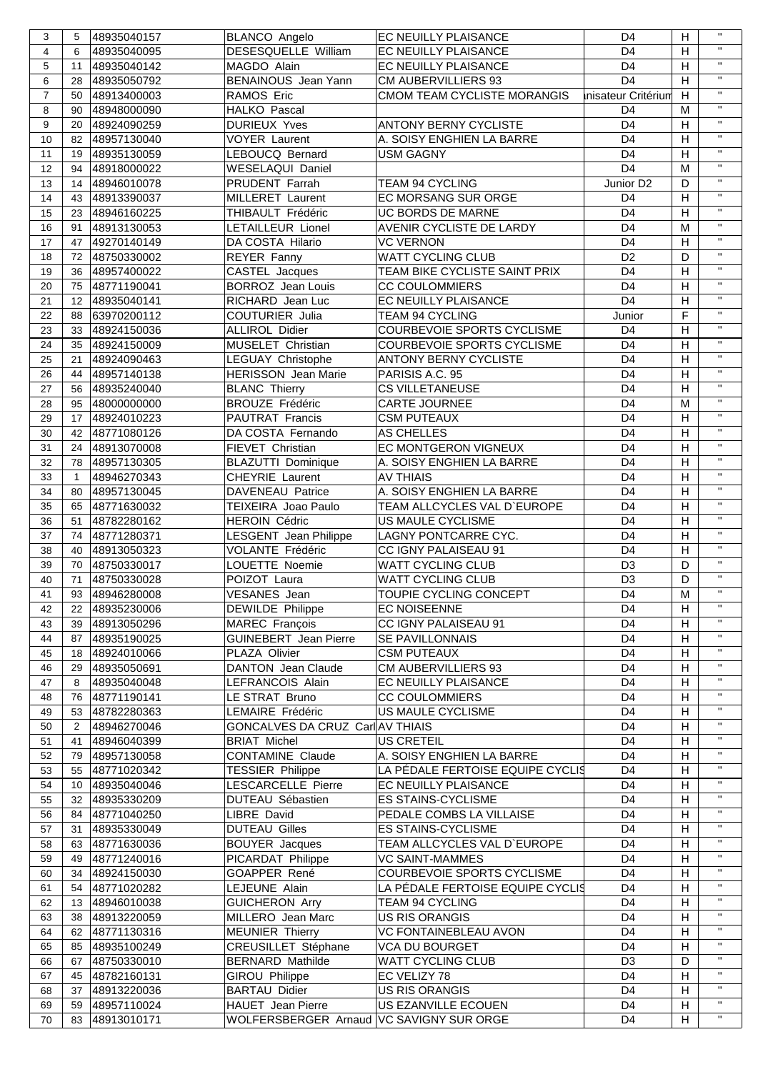| 3              | 5              | 48935040157 | <b>BLANCO Angelo</b>                     | EC NEUILLY PLAISANCE             | D <sub>4</sub>        | H                         | $\mathbf{H}$ |
|----------------|----------------|-------------|------------------------------------------|----------------------------------|-----------------------|---------------------------|--------------|
| $\overline{4}$ | 6              | 48935040095 | DESESQUELLE William                      | EC NEUILLY PLAISANCE             | D <sub>4</sub>        | H                         | $\mathbf{H}$ |
| 5              | 11             | 48935040142 | MAGDO Alain                              | EC NEUILLY PLAISANCE             | D <sub>4</sub>        | H                         | $\mathbf{H}$ |
| 6              | 28             | 48935050792 | BENAINOUS Jean Yann                      | <b>CM AUBERVILLIERS 93</b>       | D <sub>4</sub>        | $\mathsf H$               | $\mathbf{H}$ |
| $\overline{7}$ | 50             | 48913400003 | RAMOS Eric                               | CMOM TEAM CYCLISTE MORANGIS      | Inisateur Critérium   | $\mathsf H$               | $\mathbf{H}$ |
| 8              | 90             | 48948000090 | HALKO Pascal                             |                                  | D <sub>4</sub>        | M                         | $\mathbf{H}$ |
| 9              | 20             | 48924090259 | <b>DURIEUX Yves</b>                      | <b>ANTONY BERNY CYCLISTE</b>     | D <sub>4</sub>        | H                         | $\mathbf{H}$ |
| 10             | 82             | 48957130040 | <b>VOYER Laurent</b>                     | A. SOISY ENGHIEN LA BARRE        | D <sub>4</sub>        | H                         | $\mathbf{H}$ |
|                |                |             |                                          |                                  | D <sub>4</sub>        | H                         | $\mathbf{H}$ |
| 11             | 19             | 48935130059 | LEBOUCQ Bernard                          | <b>USM GAGNY</b>                 |                       |                           | $\mathbf{H}$ |
| 12             | 94             | 48918000022 | WESELAQUI Daniel                         |                                  | D <sub>4</sub>        | M                         |              |
| 13             | 14             | 48946010078 | PRUDENT Farrah                           | TEAM 94 CYCLING                  | Junior D <sub>2</sub> | D                         | $\mathbf{H}$ |
| 14             | 43             | 48913390037 | MILLERET Laurent                         | EC MORSANG SUR ORGE              | D <sub>4</sub>        | H                         | $\mathbf{H}$ |
| 15             | 23             | 48946160225 | THIBAULT Frédéric                        | UC BORDS DE MARNE                | D <sub>4</sub>        | H                         | $\mathbf{H}$ |
| 16             | 91             | 48913130053 | LETAILLEUR Lionel                        | AVENIR CYCLISTE DE LARDY         | D <sub>4</sub>        | M                         | $\mathbf{H}$ |
| 17             | 47             | 49270140149 | DA COSTA Hilario                         | <b>VC VERNON</b>                 | D <sub>4</sub>        | $\mathsf H$               | $\mathbf{u}$ |
| 18             | 72             | 48750330002 | REYER Fanny                              | <b>WATT CYCLING CLUB</b>         | D <sub>2</sub>        | D                         | $\mathbf{H}$ |
| 19             | 36             | 48957400022 | CASTEL Jacques                           | TEAM BIKE CYCLISTE SAINT PRIX    | D <sub>4</sub>        | H                         | $\mathbf{H}$ |
| 20             | 75             | 48771190041 | <b>BORROZ</b> Jean Louis                 | <b>CC COULOMMIERS</b>            | D <sub>4</sub>        | $\mathsf H$               | $\mathbf{H}$ |
|                |                |             |                                          |                                  | D <sub>4</sub>        |                           | $\mathbf{H}$ |
| 21             | 12             | 48935040141 | RICHARD Jean Luc                         | EC NEUILLY PLAISANCE             |                       | H                         | $\mathbf{H}$ |
| 22             | 88             | 63970200112 | <b>COUTURIER Julia</b>                   | TEAM 94 CYCLING                  | Junior                | F                         |              |
| 23             | 33             | 48924150036 | <b>ALLIROL Didier</b>                    | COURBEVOIE SPORTS CYCLISME       | D <sub>4</sub>        | н                         | $\mathbf{H}$ |
| 24             | 35             | 48924150009 | MUSELET Christian                        | COURBEVOIE SPORTS CYCLISME       | D <sub>4</sub>        | H                         | $\mathbf{H}$ |
| 25             | 21             | 48924090463 | <b>LEGUAY Christophe</b>                 | <b>ANTONY BERNY CYCLISTE</b>     | D <sub>4</sub>        | H                         | $\mathbf{H}$ |
| 26             | 44             | 48957140138 | <b>HERISSON</b> Jean Marie               | PARISIS A.C. 95                  | D <sub>4</sub>        | H                         | $\mathbf{H}$ |
| 27             | 56             | 48935240040 | <b>BLANC Thierry</b>                     | <b>CS VILLETANEUSE</b>           | D <sub>4</sub>        | H                         | $\mathbf{H}$ |
| 28             | 95             | 48000000000 | <b>BROUZE Frédéric</b>                   | <b>CARTE JOURNEE</b>             | D <sub>4</sub>        | M                         | $\mathbf{H}$ |
| 29             | 17             | 48924010223 | PAUTRAT Francis                          | <b>CSM PUTEAUX</b>               | D <sub>4</sub>        | H                         | $\mathbf{H}$ |
| 30             | 42             | 48771080126 | DA COSTA Fernando                        | AS CHELLES                       | D <sub>4</sub>        | $\mathsf H$               | $\mathbf{H}$ |
|                |                |             |                                          |                                  |                       |                           | $\mathbf{H}$ |
| 31             | 24             | 48913070008 | FIEVET Christian                         | EC MONTGERON VIGNEUX             | D <sub>4</sub>        | $\mathsf H$               | $\mathbf{H}$ |
| 32             | 78             | 48957130305 | <b>BLAZUTTI Dominique</b>                | A. SOISY ENGHIEN LA BARRE        | D <sub>4</sub>        | $\mathsf H$               |              |
| 33             | $\mathbf{1}$   | 48946270343 | CHEYRIE Laurent                          | <b>AV THIAIS</b>                 | D <sub>4</sub>        | H                         | $\mathbf{H}$ |
| 34             | 80             | 48957130045 | DAVENEAU Patrice                         | A. SOISY ENGHIEN LA BARRE        | D <sub>4</sub>        | Н                         | $\mathbf{H}$ |
| 35             | 65             | 48771630032 | TEIXEIRA Joao Paulo                      | TEAM ALLCYCLES VAL D'EUROPE      | D <sub>4</sub>        | H                         | $\mathbf{H}$ |
| 36             | 51             | 48782280162 | <b>HEROIN Cédric</b>                     | US MAULE CYCLISME                | D <sub>4</sub>        | $\mathsf H$               | $\mathbf{H}$ |
| 37             | 74             | 48771280371 | <b>LESGENT</b> Jean Philippe             | LAGNY PONTCARRE CYC.             | D <sub>4</sub>        | H                         | $\mathbf{H}$ |
| 38             | 40             | 48913050323 | VOLANTE Frédéric                         | CC IGNY PALAISEAU 91             | D <sub>4</sub>        | $\mathsf H$               | $\mathbf{H}$ |
| 39             | 70             | 48750330017 | LOUETTE Noemie                           | WATT CYCLING CLUB                | D <sub>3</sub>        | D                         | $\mathbf{H}$ |
| 40             | 71             | 48750330028 | POIZOT Laura                             | <b>WATT CYCLING CLUB</b>         | D <sub>3</sub>        | D                         | $\mathbf{H}$ |
|                |                |             | <b>VESANES</b> Jean                      |                                  | D <sub>4</sub>        | M                         | $\mathbf{u}$ |
| 41             | 93             | 48946280008 |                                          | TOUPIE CYCLING CONCEPT           |                       |                           | $\mathbf{H}$ |
| 42             | 22             | 48935230006 | DEWILDE Philippe                         | <b>EC NOISEENNE</b>              | D <sub>4</sub>        | H                         | $\mathbf{H}$ |
| 43             | 39             | 48913050296 | <b>MAREC François</b>                    | CC IGNY PALAISEAU 91             | D <sub>4</sub>        | H                         |              |
| 44             | 87             | 48935190025 | <b>GUINEBERT</b> Jean Pierre             | SE PAVILLONNAIS                  | D <sub>4</sub>        | $\mathsf H$               | $\mathbf{H}$ |
| 45             | 18             | 48924010066 | PLAZA Olivier                            | <b>CSM PUTEAUX</b>               | D <sub>4</sub>        | $\mathsf H$               | $\mathbf{H}$ |
| 46             | 29             | 48935050691 | <b>DANTON</b> Jean Claude                | <b>CM AUBERVILLIERS 93</b>       | D <sub>4</sub>        | н                         | $\mathbf{H}$ |
| 47             | 8              | 48935040048 | LEFRANCOIS Alain                         | EC NEUILLY PLAISANCE             | D <sub>4</sub>        | Н                         | $\mathbf{H}$ |
| 48             | 76             | 48771190141 | LE STRAT Bruno                           | <b>CC COULOMMIERS</b>            | D <sub>4</sub>        | н                         | $\mathbf{H}$ |
| 49             | 53             | 48782280363 | LEMAIRE Frédéric                         | US MAULE CYCLISME                | D <sub>4</sub>        | H                         | $\mathbf{H}$ |
| 50             | $\overline{2}$ | 48946270046 | GONCALVES DA CRUZ Carl AV THIAIS         |                                  | D <sub>4</sub>        | Н                         | $\mathbf{H}$ |
| 51             | 41             | 48946040399 | <b>BRIAT Michel</b>                      | <b>US CRETEIL</b>                | D <sub>4</sub>        | Н                         | $\mathbf{H}$ |
|                |                | 48957130058 | <b>CONTAMINE Claude</b>                  | A. SOISY ENGHIEN LA BARRE        | D <sub>4</sub>        | Н                         | $\mathbf{H}$ |
| 52             | 79             |             |                                          |                                  |                       |                           | $\mathbf{H}$ |
| 53             | 55             | 48771020342 | <b>TESSIER Philippe</b>                  | LA PÉDALE FERTOISE EQUIPE CYCLIS | D <sub>4</sub>        | H                         | $\mathbf{H}$ |
| 54             | 10             | 48935040046 | LESCARCELLE Pierre                       | EC NEUILLY PLAISANCE             | D <sub>4</sub>        | H                         |              |
| 55             | 32             | 48935330209 | DUTEAU Sébastien                         | <b>ES STAINS-CYCLISME</b>        | D <sub>4</sub>        | H                         | $\mathbf{H}$ |
| 56             | 84             | 48771040250 | LIBRE David                              | PEDALE COMBS LA VILLAISE         | D <sub>4</sub>        | H                         | $\mathbf{H}$ |
| 57             | 31             | 48935330049 | <b>DUTEAU Gilles</b>                     | ES STAINS-CYCLISME               | D <sub>4</sub>        | H                         | $\mathbf{H}$ |
| 58             | 63             | 48771630036 | <b>BOUYER Jacques</b>                    | TEAM ALLCYCLES VAL D'EUROPE      | D <sub>4</sub>        | $\boldsymbol{\mathsf{H}}$ | $\mathbf{H}$ |
| 59             | 49             | 48771240016 | PICARDAT Philippe                        | VC SAINT-MAMMES                  | D <sub>4</sub>        | Н                         | $\mathbf{H}$ |
| 60             | 34             | 48924150030 | GOAPPER René                             | COURBEVOIE SPORTS CYCLISME       | D <sub>4</sub>        | H                         | $\mathbf{H}$ |
| 61             | 54             | 48771020282 | LEJEUNE Alain                            | LA PÉDALE FERTOISE EQUIPE CYCLIS | D <sub>4</sub>        | H                         | $\mathbf{H}$ |
| 62             | 13             | 48946010038 | <b>GUICHERON Arry</b>                    | TEAM 94 CYCLING                  | D <sub>4</sub>        | H                         | $\mathbf{H}$ |
| 63             | 38             | 48913220059 | MILLERO Jean Marc                        | US RIS ORANGIS                   | D <sub>4</sub>        | H                         | $\mathbf{H}$ |
| 64             |                |             |                                          |                                  | D <sub>4</sub>        | H                         | $\mathbf{H}$ |
|                | 62             | 48771130316 | <b>MEUNIER Thierry</b>                   | VC FONTAINEBLEAU AVON            |                       |                           | $\mathbf{H}$ |
| 65             | 85             | 48935100249 | CREUSILLET Stéphane                      | <b>VCA DU BOURGET</b>            | D <sub>4</sub>        | H                         | $\mathbf{H}$ |
| 66             | 67             | 48750330010 | <b>BERNARD Mathilde</b>                  | WATT CYCLING CLUB                | D <sub>3</sub>        | D                         |              |
| 67             | 45             | 48782160131 | <b>GIROU Philippe</b>                    | EC VELIZY 78                     | D <sub>4</sub>        | H                         | $\mathbf{H}$ |
| 68             | 37             | 48913220036 | <b>BARTAU Didier</b>                     | <b>US RIS ORANGIS</b>            | D <sub>4</sub>        | $\mathsf H$               | $\mathbf{H}$ |
| 69             | 59             | 48957110024 | <b>HAUET</b> Jean Pierre                 | US EZANVILLE ECOUEN              | D <sub>4</sub>        | $\boldsymbol{\mathsf{H}}$ | $\mathbf{H}$ |
| 70             | 83             | 48913010171 | WOLFERSBERGER Arnaud VC SAVIGNY SUR ORGE |                                  | D <sub>4</sub>        | H                         | $\mathbf{u}$ |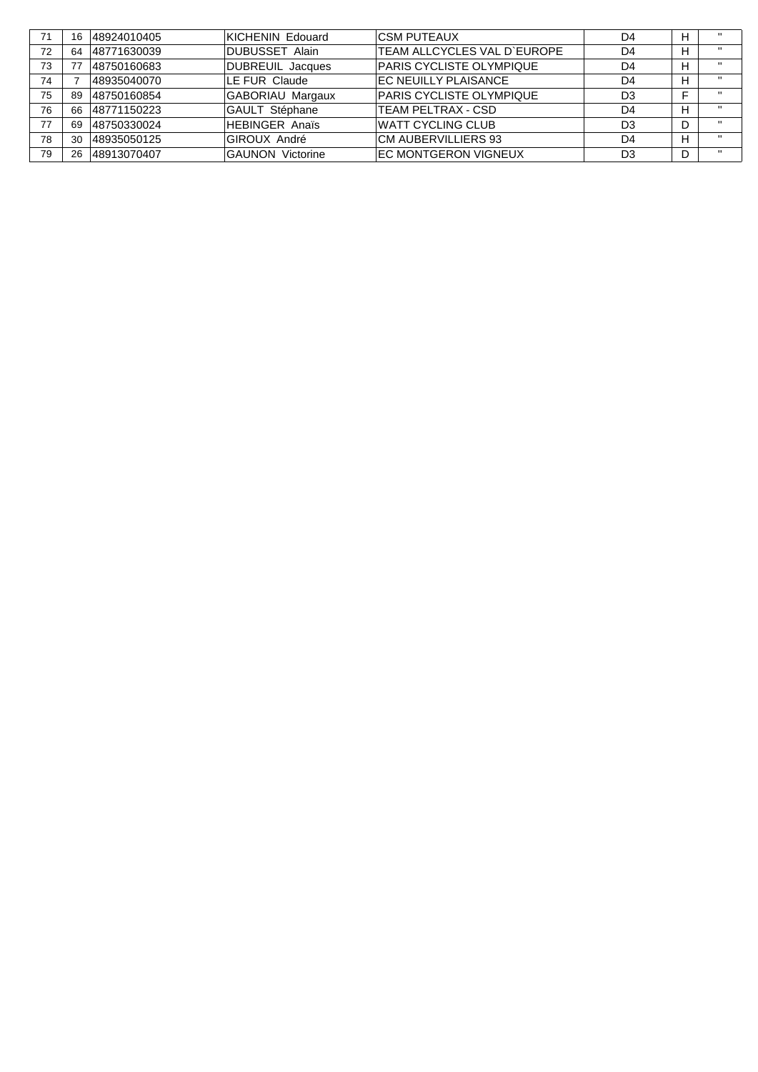| 71 | 16 | 48924010405 | KICHENIN Edouard        | ICSM PUTEAUX                    | D4 | н | .            |
|----|----|-------------|-------------------------|---------------------------------|----|---|--------------|
| 72 | 64 | 48771630039 | <b>DUBUSSET Alain</b>   | TEAM ALLCYCLES VAL D'EUROPE     | D4 | н | $\mathbf{u}$ |
| 73 |    | 48750160683 | <b>DUBREUIL Jacques</b> | <b>PARIS CYCLISTE OLYMPIQUE</b> | D4 | н | $\mathbf{u}$ |
| 74 |    | 48935040070 | LE FUR Claude           | EC NEUILLY PLAISANCE            | D4 | н |              |
| 75 | 89 | 48750160854 | GABORIAU Margaux        | <b>PARIS CYCLISTE OLYMPIQUE</b> | D3 |   | .            |
| 76 | 66 | 48771150223 | GAULT Stéphane          | <b>TEAM PELTRAX - CSD</b>       | D4 | н | $\mathbf{u}$ |
| 77 | 69 | 48750330024 | <b>HEBINGER Anaïs</b>   | <b>WATT CYCLING CLUB</b>        | D3 | D |              |
| 78 | 30 | 48935050125 | GIROUX André            | CM AUBERVILLIERS 93             | D4 | н | .            |
| 79 | 26 | 48913070407 | <b>GAUNON Victorine</b> | <b>EC MONTGERON VIGNEUX</b>     | D3 | D | $\mathbf{u}$ |